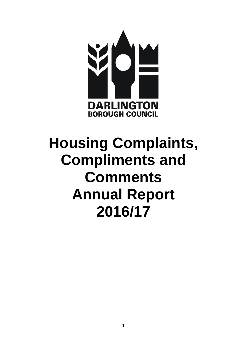

# **Housing Complaints, Compliments and Comments Annual Report 2016/17**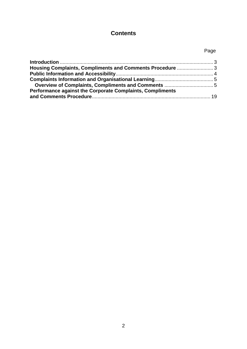## **Contents**

## Page

| Performance against the Corporate Complaints, Compliments |  |
|-----------------------------------------------------------|--|
|                                                           |  |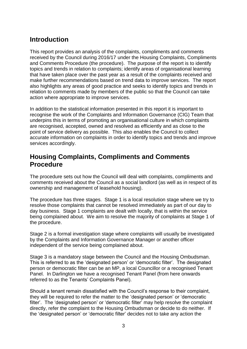## <span id="page-2-0"></span>**Introduction**

This report provides an analysis of the complaints, compliments and comments received by the Council during 2016/17 under the Housing Complaints, Compliments and Comments Procedure (the procedure). The purpose of the report is to identify topics and trends in relation to complaints; identify areas of organisational learning that have taken place over the past year as a result of the complaints received and make further recommendations based on trend data to improve services. The report also highlights any areas of good practice and seeks to identify topics and trends in relation to comments made by members of the public so that the Council can take action where appropriate to improve services.

In addition to the statistical information presented in this report it is important to recognise the work of the Complaints and Information Governance (CIG) Team that underpins this in terms of promoting an organisational culture in which complaints are recognised, accepted, owned and resolved as efficiently and as close to the point of service delivery as possible. This also enables the Council to collect accurate information on complaints in order to identify topics and trends and improve services accordingly.

## <span id="page-2-1"></span>**Housing Complaints, Compliments and Comments Procedure**

The procedure sets out how the Council will deal with complaints, compliments and comments received about the Council as a social landlord (as well as in respect of its ownership and management of leasehold housing).

The procedure has three stages. Stage 1 is a local resolution stage where we try to resolve those complaints that cannot be resolved immediately as part of our day to day business. Stage 1 complaints are dealt with locally, that is within the service being complained about. We aim to resolve the majority of complaints at Stage 1 of the procedure.

Stage 2 is a formal investigation stage where complaints will usually be investigated by the Complaints and Information Governance Manager or another officer independent of the service being complained about.

Stage 3 is a mandatory stage between the Council and the Housing Ombudsman. This is referred to as the 'designated person' or 'democratic filter'. The designated person or democratic filter can be an MP, a local Councillor or a recognised Tenant Panel. In Darlington we have a recognised Tenant Panel (from here onwards referred to as the Tenants' Complaints Panel).

Should a tenant remain dissatisfied with the Council's response to their complaint, they will be required to refer the matter to the 'designated person' or 'democratic filter'. The 'designated person' or 'democratic filter' may help resolve the complaint directly, refer the complaint to the Housing Ombudsman or decide to do neither. If the 'designated person' or 'democratic filter' decides not to take any action the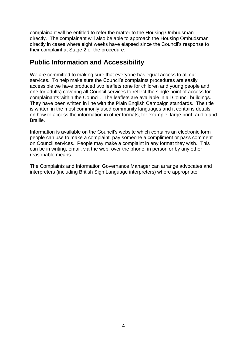complainant will be entitled to refer the matter to the Housing Ombudsman directly. The complainant will also be able to approach the Housing Ombudsman directly in cases where eight weeks have elapsed since the Council's response to their complaint at Stage 2 of the procedure.

## <span id="page-3-0"></span>**Public Information and Accessibility**

We are committed to making sure that everyone has equal access to all our services. To help make sure the Council's complaints procedures are easily accessible we have produced two leaflets (one for children and young people and one for adults) covering all Council services to reflect the single point of access for complainants within the Council. The leaflets are available in all Council buildings. They have been written in line with the Plain English Campaign standards. The title is written in the most commonly used community languages and it contains details on how to access the information in other formats, for example, large print, audio and Braille.

Information is available on the Council's website which contains an electronic form people can use to make a complaint, pay someone a compliment or pass comment on Council services. People may make a complaint in any format they wish. This can be in writing, email, via the web, over the phone, in person or by any other reasonable means.

The Complaints and Information Governance Manager can arrange advocates and interpreters (including British Sign Language interpreters) where appropriate.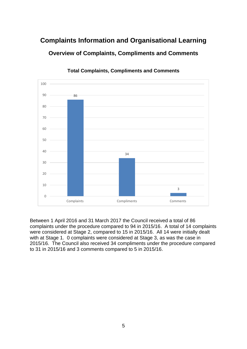## <span id="page-4-1"></span><span id="page-4-0"></span>**Complaints Information and Organisational Learning Overview of Complaints, Compliments and Comments**



**Total Complaints, Compliments and Comments** 

Between 1 April 2016 and 31 March 2017 the Council received a total of 86 complaints under the procedure compared to 94 in 2015/16. A total of 14 complaints were considered at Stage 2, compared to 15 in 2015/16. All 14 were initially dealt with at Stage 1. 0 complaints were considered at Stage 3, as was the case in 2015/16. The Council also received 34 compliments under the procedure compared to 31 in 2015/16 and 3 comments compared to 5 in 2015/16.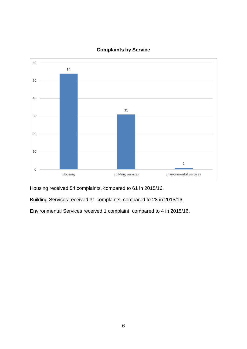

## **Complaints by Service**

Housing received 54 complaints, compared to 61 in 2015/16.

Building Services received 31 complaints, compared to 28 in 2015/16.

Environmental Services received 1 complaint, compared to 4 in 2015/16.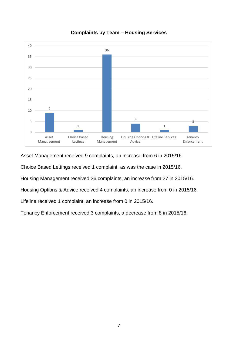

#### **Complaints by Team – Housing Services**

Asset Management received 9 complaints, an increase from 6 in 2015/16.

Choice Based Lettings received 1 complaint, as was the case in 2015/16.

Housing Management received 36 complaints, an increase from 27 in 2015/16.

Housing Options & Advice received 4 complaints, an increase from 0 in 2015/16.

Lifeline received 1 complaint, an increase from 0 in 2015/16.

Tenancy Enforcement received 3 complaints, a decrease from 8 in 2015/16.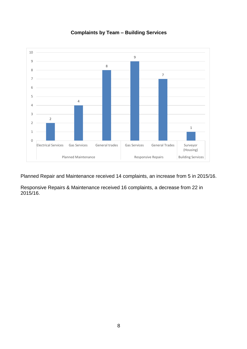

#### **Complaints by Team – Building Services**

Planned Repair and Maintenance received 14 complaints, an increase from 5 in 2015/16.

Responsive Repairs & Maintenance received 16 complaints, a decrease from 22 in 2015/16.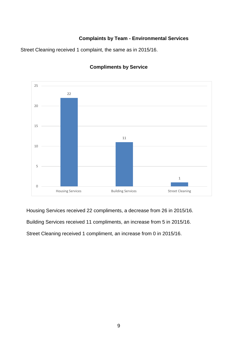#### **Complaints by Team - Environmental Services**

Street Cleaning received 1 complaint, the same as in 2015/16.



#### **Compliments by Service**

Housing Services received 22 compliments, a decrease from 26 in 2015/16.

Building Services received 11 compliments, an increase from 5 in 2015/16.

Street Cleaning received 1 compliment, an increase from 0 in 2015/16.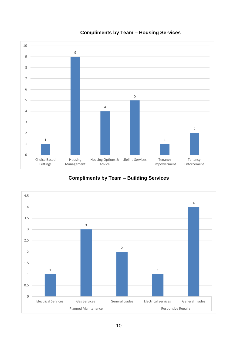

## **Compliments by Team – Housing Services**

**Compliments by Team – Building Services**

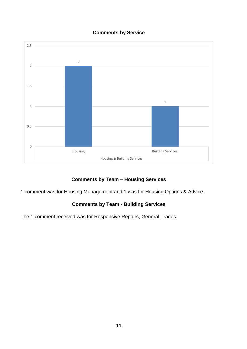



## **Comments by Team – Housing Services**

1 comment was for Housing Management and 1 was for Housing Options & Advice.

## **Comments by Team - Building Services**

The 1 comment received was for Responsive Repairs, General Trades.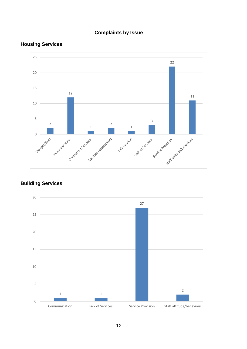## **Complaints by Issue**

## **Housing Services**



#### **Building Services**

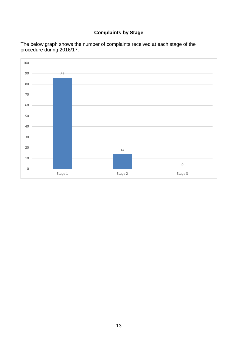## **Complaints by Stage**



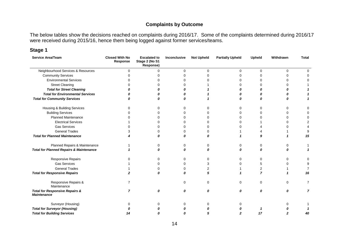#### **Complaints by Outcome**

The below tables show the decisions reached on complaints during 2016/17. Some of the complaints determined during 2016/17 were received during 2015/16, hence them being logged against former services/teams.

#### **Stage 1**

| Service Area/Team                                               | <b>Closed With No</b><br>Response | <b>Escalated to</b><br>Stage 2 (No S1<br>Response) | Inconclusive     | <b>Not Upheld</b> | <b>Partially Upheld</b> | Upheld         | Withdrawn | <b>Total</b>   |
|-----------------------------------------------------------------|-----------------------------------|----------------------------------------------------|------------------|-------------------|-------------------------|----------------|-----------|----------------|
| Neighbourhood Services & Resources                              | 0                                 | 0                                                  | $\Omega$         | $\mathbf 0$       | $\Omega$                | 0              | $\Omega$  | $\Omega$       |
| <b>Community Services</b>                                       | ∩                                 | $\Omega$                                           | 0                | $\Omega$          |                         | 0              | ∩         | ∩              |
| <b>Environmental Services</b>                                   |                                   | n                                                  | 0                | O                 |                         | 0              |           | 0              |
| <b>Street Cleaning</b>                                          |                                   |                                                    | 0                |                   |                         | 0              |           |                |
| <b>Total for Street Cleaning</b>                                |                                   |                                                    | n                |                   | Ω                       |                |           |                |
| <b>Total for Environmental Services</b>                         |                                   |                                                    | 0                |                   |                         |                |           |                |
| <b>Total for Community Services</b>                             |                                   | Λ                                                  | 0                |                   | 0                       | 0              |           |                |
| Housing & Building Services                                     | U                                 | $\Omega$                                           | 0                | $\mathbf 0$       | 0                       | $\mathbf 0$    | 0         | 0              |
| <b>Building Services</b>                                        |                                   |                                                    | 0                | $\Omega$          |                         | 0              |           | 0              |
| <b>Planned Maintenance</b>                                      |                                   | ∩                                                  | 0                | 0                 |                         |                |           | 0              |
| <b>Electrical Services</b>                                      |                                   | $\Omega$                                           | $\Omega$         | $\Omega$          |                         |                |           | 2              |
| <b>Gas Services</b>                                             |                                   | ∩                                                  | 0                | $\Omega$          |                         |                |           |                |
| <b>General Trades</b>                                           |                                   | $\Omega$                                           | 0                | $\Omega$          |                         |                |           | $\mathbf{Q}$   |
| <b>Total for Planned Maintenance</b>                            |                                   | n                                                  | 0                | 0                 |                         | 9              |           | 15             |
| Planned Repairs & Maintenance                                   |                                   | O                                                  | 0                | 0                 |                         | 0              |           |                |
| <b>Total for Planned Repairs &amp; Maintenance</b>              |                                   | n                                                  | 0                | 0                 |                         | 0              |           |                |
| Responsive Repairs                                              | U                                 | $\Omega$                                           | 0                | $\Omega$          | $\Omega$                | 0              | $\Omega$  | $\Omega$       |
| <b>Gas Services</b>                                             |                                   | $\Omega$                                           | 0                | 3                 |                         | 5              |           | 9              |
| <b>General Trades</b>                                           |                                   | 0                                                  | 0                | 2                 |                         | 2              |           |                |
| <b>Total for Responsive Repairs</b>                             |                                   | $\boldsymbol{0}$                                   | $\boldsymbol{0}$ | 5                 |                         | $\overline{7}$ |           | 16             |
| Responsive Repairs &<br>Maintenance                             | 7                                 |                                                    | $\Omega$         | 0                 | U                       | 0              | $\Omega$  | 7              |
| <b>Total for Responsive Repairs &amp;</b><br><b>Maintenance</b> | 7                                 | 0                                                  | 0                | 0                 | 0                       | 0              | 0         | $\overline{7}$ |
| Surveyor (Housing)                                              | U                                 | ∩                                                  | 0                | $\Omega$          |                         |                |           |                |
| <b>Total for Surveyor (Housing)</b>                             |                                   |                                                    |                  |                   |                         |                |           |                |
| <b>Total for Building Services</b>                              |                                   |                                                    |                  |                   |                         | 17             |           | 40             |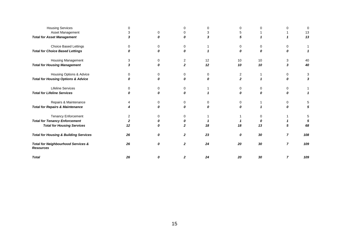| <b>Housing Services</b>                                           |    |          |                | ∩                |              |    |                | 0   |
|-------------------------------------------------------------------|----|----------|----------------|------------------|--------------|----|----------------|-----|
| Asset Management                                                  |    | $\Omega$ |                | 3                |              |    |                | 13  |
| <b>Total for Asset Management</b>                                 |    | 0        | Ω              | 3                | 5            |    |                | 13  |
| <b>Choice Based Lettings</b>                                      |    | 0        | 0              |                  | ∩            | 0  | 0              |     |
| <b>Total for Choice Based Lettings</b>                            | n  | 0        | Λ              |                  | 0            | 0  | 0              |     |
| Housing Management                                                | 3  | 0        | $\overline{c}$ | 12               | 10           | 10 | 3              | 40  |
| <b>Total for Housing Management</b>                               | 3  | 0        | $\mathbf{z}$   | 12               | 10           | 10 | 3              | 40  |
| Housing Options & Advice                                          | 0  | 0        | 0              | 0                | 2            |    | 0              | 3   |
| <b>Total for Housing Options &amp; Advice</b>                     |    | n        | Λ              | $\boldsymbol{0}$ | $\mathbf{2}$ |    | 0              | 3   |
| <b>Lifeline Services</b>                                          | 0  | 0        | 0              |                  | U            | 0  | 0              |     |
| <b>Total for Lifeline Services</b>                                |    |          |                |                  |              | n  |                |     |
| Repairs & Maintenance                                             |    | 0        |                | 0                | $\Omega$     |    | 0              | 5   |
| <b>Total for Repairs &amp; Maintenance</b>                        |    | Λ        | Λ              | $\Omega$         | Ω            |    | n              | 5   |
| <b>Tenancy Enforcement</b>                                        | 2  | 0        |                |                  |              | 0  |                | 5   |
| <b>Total for Tenancy Enforcement</b>                              | 2  | n        |                |                  |              | 0  |                |     |
| <b>Total for Housing Services</b>                                 | 12 | Λ        | $\mathbf{z}$   | 18               | 18           | 13 |                | 68  |
| <b>Total for Housing &amp; Building Services</b>                  | 26 | 0        | $\mathbf{2}$   | 23               | 0            | 30 | 7              | 108 |
| <b>Total for Neighbourhood Services &amp;</b><br><b>Resources</b> | 26 | 0        | $\mathbf{2}$   | 24               | 20           | 30 | $\overline{7}$ | 109 |
| <b>Total</b>                                                      | 26 | Ω        | 2              | 24               | 20           | 30 | 7              | 109 |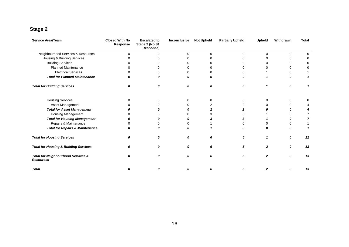## **Stage 2**

| <b>Service Area/Team</b>                                          | <b>Closed With No</b><br>Response | <b>Escalated to</b><br>Stage 2 (No S1<br>Response) | Inconclusive | <b>Not Upheld</b> | <b>Partially Upheld</b> | <b>Upheld</b> | Withdrawn | <b>Total</b> |
|-------------------------------------------------------------------|-----------------------------------|----------------------------------------------------|--------------|-------------------|-------------------------|---------------|-----------|--------------|
| Neighbourhood Services & Resources                                | $\Omega$                          | $\Omega$                                           | $\Omega$     | $\Omega$          | $\Omega$                | $\Omega$      | $\Omega$  |              |
| Housing & Building Services                                       |                                   |                                                    |              |                   |                         |               | ∩         |              |
| <b>Building Services</b>                                          |                                   |                                                    |              |                   |                         |               | ∩         |              |
| <b>Planned Maintenance</b>                                        |                                   |                                                    |              |                   |                         |               |           |              |
| <b>Electrical Services</b>                                        |                                   |                                                    |              |                   |                         |               | 0         |              |
| <b>Total for Planned Maintenance</b>                              |                                   |                                                    |              |                   |                         |               |           |              |
| <b>Total for Building Services</b>                                | Ω                                 | 0                                                  | 0            | 0                 | 0                       |               | 0         |              |
| <b>Housing Services</b>                                           |                                   |                                                    | 0            | 0                 |                         | 0             | 0         |              |
| Asset Management                                                  |                                   |                                                    |              | 2                 |                         |               | 0         |              |
| <b>Total for Asset Management</b>                                 |                                   |                                                    |              |                   |                         |               | 0         |              |
| Housing Management                                                |                                   |                                                    |              |                   |                         |               |           |              |
| <b>Total for Housing Management</b>                               |                                   |                                                    |              |                   |                         |               |           |              |
| Repairs & Maintenance                                             |                                   |                                                    |              |                   |                         |               |           |              |
| <b>Total for Repairs &amp; Maintenance</b>                        |                                   |                                                    |              |                   |                         |               | Λ         |              |
| <b>Total for Housing Services</b>                                 | Ω                                 |                                                    | 0            |                   | 5                       |               | 0         | 12           |
| <b>Total for Housing &amp; Building Services</b>                  | Ω                                 | Ω                                                  | 0            | 6                 | 5                       | $\mathbf{2}$  | 0         | 13           |
| <b>Total for Neighbourhood Services &amp;</b><br><b>Resources</b> | Ω                                 | n                                                  | 0            | 6                 | 5                       | 2             | 0         | 13           |
| <b>Total</b>                                                      | 0                                 | Ω                                                  | Ω            | 6                 | 5                       | 2             | 0         | 13           |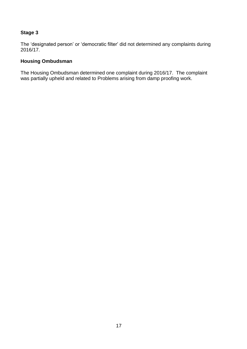#### **Stage 3**

The 'designated person' or 'democratic filter' did not determined any complaints during 2016/17.

#### **Housing Ombudsman**

The Housing Ombudsman determined one complaint during 2016/17. The complaint was partially upheld and related to Problems arising from damp proofing work.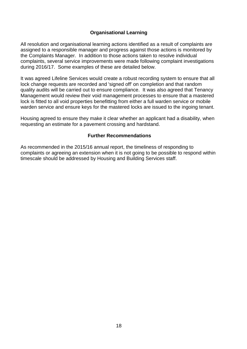#### **Organisational Learning**

All resolution and organisational learning actions identified as a result of complaints are assigned to a responsible manager and progress against those actions is monitored by the Complaints Manager. In addition to those actions taken to resolve individual complaints, several service improvements were made following complaint investigations during 2016/17. Some examples of these are detailed below.

It was agreed Lifeline Services would create a robust recording system to ensure that all lock change requests are recorded and 'signed off' on completion and that random quality audits will be carried out to ensure compliance. It was also agreed that Tenancy Management would review their void management processes to ensure that a mastered lock is fitted to all void properties benefitting from either a full warden service or mobile warden service and ensure keys for the mastered locks are issued to the ingoing tenant.

Housing agreed to ensure they make it clear whether an applicant had a disability, when requesting an estimate for a pavement crossing and hardstand.

#### **Further Recommendations**

As recommended in the 2015/16 annual report, the timeliness of responding to complaints or agreeing an extension when it is not going to be possible to respond within timescale should be addressed by Housing and Building Services staff.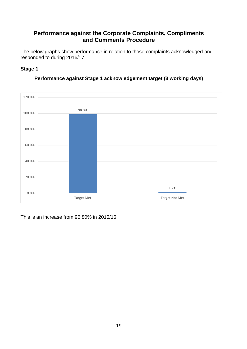## <span id="page-18-0"></span>**Performance against the Corporate Complaints, Compliments and Comments Procedure**

<span id="page-18-1"></span>The below graphs show performance in relation to those complaints acknowledged and responded to during 2016/17.

#### **Stage 1**



#### **Performance against Stage 1 acknowledgement target (3 working days)**

This is an increase from 96.80% in 2015/16.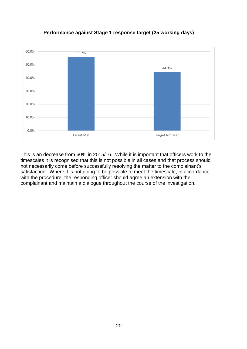

#### **Performance against Stage 1 response target (25 working days)**

This is an decrease from 60% in 2015/16. While it is important that officers work to the timescales it is recognised that this is not possible in all cases and that process should not necessarily come before successfully resolving the matter to the complainant's satisfaction. Where it is not going to be possible to meet the timescale, in accordance with the procedure, the responding officer should agree an extension with the complainant and maintain a dialogue throughout the course of the investigation.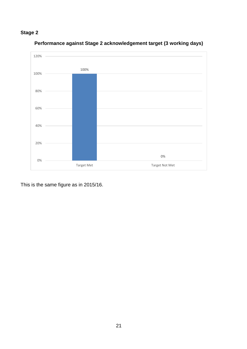## **Stage 2**



## **Performance against Stage 2 acknowledgement target (3 working days)**

This is the same figure as in 2015/16.